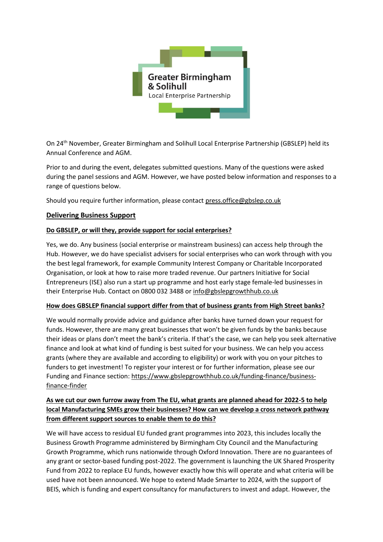

On 24th November, Greater Birmingham and Solihull Local Enterprise Partnership (GBSLEP) held its Annual Conference and AGM.

Prior to and during the event, delegates submitted questions. Many of the questions were asked during the panel sessions and AGM. However, we have posted below information and responses to a range of questions below.

Should you require further information, please contact [press.office@gbslep.co.uk](mailto:press.office@gbslep.co.uk)

#### **Delivering Business Support**

#### **Do GBSLEP, or will they, provide support for social enterprises?**

Yes, we do. Any business (social enterprise or mainstream business) can access help through the Hub. However, we do have specialist advisers for social enterprises who can work through with you the best legal framework, for example Community Interest Company or Charitable Incorporated Organisation, or look at how to raise more traded revenue. Our partners Initiative for Social Entrepreneurs (ISE) also run a start up programme and host early stage female-led businesses in their Enterprise Hub. Contact on 0800 032 3488 or [info@gbslepgrowthhub.co.uk](mailto:info@gbslepgrowthhub.co.uk)

#### **How does GBSLEP financial support differ from that of business grants from High Street banks?**

We would normally provide advice and guidance after banks have turned down your request for funds. However, there are many great businesses that won't be given funds by the banks because their ideas or plans don't meet the bank's criteria. If that's the case, we can help you seek alternative finance and look at what kind of funding is best suited for your business. We can help you access grants (where they are available and according to eligibility) or work with you on your pitches to funders to get investment! To register your interest or for further information, please see our Funding and Finance section: [https://www.gbslepgrowthhub.co.uk/funding-finance/business](https://www.gbslepgrowthhub.co.uk/funding-finance/business-finance-finder)[finance-finder](https://www.gbslepgrowthhub.co.uk/funding-finance/business-finance-finder)

## **As we cut our own furrow away from The EU, what grants are planned ahead for 2022-5 to help local Manufacturing SMEs grow their businesses? How can we develop a cross network pathway from different support sources to enable them to do this?**

We will have access to residual EU funded grant programmes into 2023, this includes locally the Business Growth Programme administered by Birmingham City Council and the Manufacturing Growth Programme, which runs nationwide through Oxford Innovation. There are no guarantees of any grant or sector-based funding post-2022. The government is launching the UK Shared Prosperity Fund from 2022 to replace EU funds, however exactly how this will operate and what criteria will be used have not been announced. We hope to extend Made Smarter to 2024, with the support of BEIS, which is funding and expert consultancy for manufacturers to invest and adapt. However, the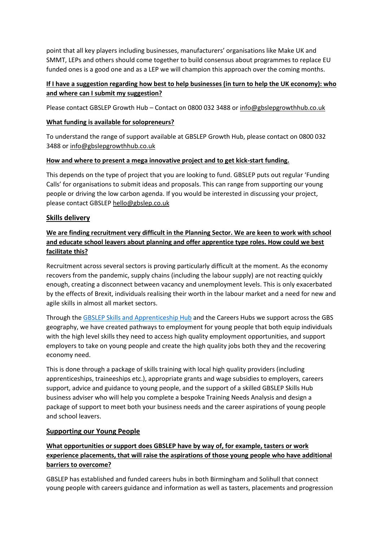point that all key players including businesses, manufacturers' organisations like Make UK and SMMT, LEPs and others should come together to build consensus about programmes to replace EU funded ones is a good one and as a LEP we will champion this approach over the coming months.

## **If I have a suggestion regarding how best to help businesses (in turn to help the UK economy): who and where can I submit my suggestion?**

Please contact GBSLEP Growth Hub – Contact on 0800 032 3488 or [info@gbslepgrowthhub.co.uk](mailto:info@gbslepgrowthhub.co.uk)

### **What funding is available for solopreneurs?**

To understand the range of support available at GBSLEP Growth Hub, please contact on 0800 032 3488 or [info@gbslepgrowthhub.co.uk](mailto:info@gbslepgrowthhub.co.uk)

#### **How and where to present a mega innovative project and to get kick-start funding.**

This depends on the type of project that you are looking to fund. GBSLEP puts out regular 'Funding Calls' for organisations to submit ideas and proposals. This can range from supporting our young people or driving the low carbon agenda. If you would be interested in discussing your project, please contact GBSLEP [hello@gbslep.co.uk](mailto:hello@gbslep.co.uk)

## **Skills delivery**

# **We are finding recruitment very difficult in the Planning Sector. We are keen to work with school and educate school leavers about planning and offer apprentice type roles. How could we best facilitate this?**

Recruitment across several sectors is proving particularly difficult at the moment. As the economy recovers from the pandemic, supply chains (including the labour supply) are not reacting quickly enough, creating a disconnect between vacancy and unemployment levels. This is only exacerbated by the effects of Brexit, individuals realising their worth in the labour market and a need for new and agile skills in almost all market sectors.

Through the GBSLEP Skills and [Apprenticeship Hub](https://www.gbslepgrowthhub.co.uk/skills-hub?gclid=Cj0KCQiA-qGNBhD3ARIsAO_o7yn0JigtDxFRLEeRE8-Fg9wXv2zBaBvWyZ98rXeqoThbfB86pQt7l4kaAgW2EALw_wcB) and the Careers Hubs we support across the GBS geography, we have created pathways to employment for young people that both equip individuals with the high level skills they need to access high quality employment opportunities, and support employers to take on young people and create the high quality jobs both they and the recovering economy need.

This is done through a package of skills training with local high quality providers (including apprenticeships, traineeships etc.), appropriate grants and wage subsidies to employers, careers support, advice and guidance to young people, and the support of a skilled GBSLEP Skills Hub business adviser who will help you complete a bespoke Training Needs Analysis and design a package of support to meet both your business needs and the career aspirations of young people and school leavers.

#### **Supporting our Young People**

# **What opportunities or support does GBSLEP have by way of, for example, tasters or work experience placements, that will raise the aspirations of those young people who have additional barriers to overcome?**

GBSLEP has established and funded careers hubs in both Birmingham and Solihull that connect young people with careers guidance and information as well as tasters, placements and progression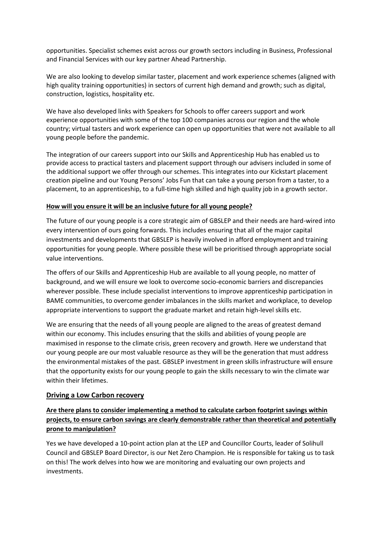opportunities. Specialist schemes exist across our growth sectors including in Business, Professional and Financial Services with our key partner Ahead Partnership.

We are also looking to develop similar taster, placement and work experience schemes (aligned with high quality training opportunities) in sectors of current high demand and growth; such as digital, construction, logistics, hospitality etc.

We have also developed links with Speakers for Schools to offer careers support and work experience opportunities with some of the top 100 companies across our region and the whole country; virtual tasters and work experience can open up opportunities that were not available to all young people before the pandemic.

The integration of our careers support into our Skills and Apprenticeship Hub has enabled us to provide access to practical tasters and placement support through our advisers included in some of the additional support we offer through our schemes. This integrates into our Kickstart placement creation pipeline and our Young Persons' Jobs Fun that can take a young person from a taster, to a placement, to an apprenticeship, to a full-time high skilled and high quality job in a growth sector.

#### **How will you ensure it will be an inclusive future for all young people?**

The future of our young people is a core strategic aim of GBSLEP and their needs are hard-wired into every intervention of ours going forwards. This includes ensuring that all of the major capital investments and developments that GBSLEP is heavily involved in afford employment and training opportunities for young people. Where possible these will be prioritised through appropriate social value interventions.

The offers of our Skills and Apprenticeship Hub are available to all young people, no matter of background, and we will ensure we look to overcome socio-economic barriers and discrepancies wherever possible. These include specialist interventions to improve apprenticeship participation in BAME communities, to overcome gender imbalances in the skills market and workplace, to develop appropriate interventions to support the graduate market and retain high-level skills etc.

We are ensuring that the needs of all young people are aligned to the areas of greatest demand within our economy. This includes ensuring that the skills and abilities of young people are maximised in response to the climate crisis, green recovery and growth. Here we understand that our young people are our most valuable resource as they will be the generation that must address the environmental mistakes of the past. GBSLEP investment in green skills infrastructure will ensure that the opportunity exists for our young people to gain the skills necessary to win the climate war within their lifetimes.

#### **Driving a Low Carbon recovery**

# **Are there plans to consider implementing a method to calculate carbon footprint savings within projects, to ensure carbon savings are clearly demonstrable rather than theoretical and potentially prone to manipulation?**

Yes we have developed a 10-point action plan at the LEP and Councillor Courts, leader of Solihull Council and GBSLEP Board Director, is our Net Zero Champion. He is responsible for taking us to task on this! The work delves into how we are monitoring and evaluating our own projects and investments.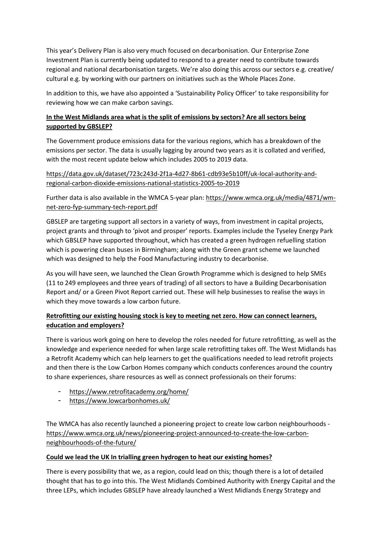This year's Delivery Plan is also very much focused on decarbonisation. Our Enterprise Zone Investment Plan is currently being updated to respond to a greater need to contribute towards regional and national decarbonisation targets. We're also doing this across our sectors e.g. creative/ cultural e.g. by working with our partners on initiatives such as the Whole Places Zone.

In addition to this, we have also appointed a 'Sustainability Policy Officer' to take responsibility for reviewing how we can make carbon savings.

# **In the West Midlands area what is the split of emissions by sectors? Are all sectors being supported by GBSLEP?**

The Government produce emissions data for the various regions, which has a breakdown of the emissions per sector. The data is usually lagging by around two years as it is collated and verified, with the most recent update below which includes 2005 to 2019 data.

[https://data.gov.uk/dataset/723c243d-2f1a-4d27-8b61-cdb93e5b10ff/uk-local-authority-and](https://data.gov.uk/dataset/723c243d-2f1a-4d27-8b61-cdb93e5b10ff/uk-local-authority-and-regional-carbon-dioxide-emissions-national-statistics-2005-to-2019)[regional-carbon-dioxide-emissions-national-statistics-2005-to-2019](https://data.gov.uk/dataset/723c243d-2f1a-4d27-8b61-cdb93e5b10ff/uk-local-authority-and-regional-carbon-dioxide-emissions-national-statistics-2005-to-2019)

Further data is also available in the WMCA 5-year plan: [https://www.wmca.org.uk/media/4871/wm](https://www.wmca.org.uk/media/4871/wm-net-zero-fyp-summary-tech-report.pdf)[net-zero-fyp-summary-tech-report.pdf](https://www.wmca.org.uk/media/4871/wm-net-zero-fyp-summary-tech-report.pdf)

GBSLEP are targeting support all sectors in a variety of ways, from investment in capital projects, project grants and through to 'pivot and prosper' reports. Examples include the Tyseley Energy Park which GBSLEP have supported throughout, which has created a green hydrogen refuelling station which is powering clean buses in Birmingham; along with the Green grant scheme we launched which was designed to help the Food Manufacturing industry to decarbonise.

As you will have seen, we launched the Clean Growth Programme which is designed to help SMEs (11 to 249 employees and three years of trading) of all sectors to have a Building Decarbonisation Report and/ or a Green Pivot Report carried out. These will help businesses to realise the ways in which they move towards a low carbon future.

# **Retrofitting our existing housing stock is key to meeting net zero. How can connect learners, education and employers?**

There is various work going on here to develop the roles needed for future retrofitting, as well as the knowledge and experience needed for when large scale retrofitting takes off. The West Midlands has a Retrofit Academy which can help learners to get the qualifications needed to lead retrofit projects and then there is the Low Carbon Homes company which conducts conferences around the country to share experiences, share resources as well as connect professionals on their forums:

- <https://www.retrofitacademy.org/home/>
- <https://www.lowcarbonhomes.uk/>

The WMCA has also recently launched a pioneering project to create low carbon neighbourhoods [https://www.wmca.org.uk/news/pioneering-project-announced-to-create-the-low-carbon](https://www.wmca.org.uk/news/pioneering-project-announced-to-create-the-low-carbon-neighbourhoods-of-the-future/)[neighbourhoods-of-the-future/](https://www.wmca.org.uk/news/pioneering-project-announced-to-create-the-low-carbon-neighbourhoods-of-the-future/)

### **Could we lead the UK In trialling green hydrogen to heat our existing homes?**

There is every possibility that we, as a region, could lead on this; though there is a lot of detailed thought that has to go into this. The West Midlands Combined Authority with Energy Capital and the three LEPs, which includes GBSLEP have already launched a West Midlands Energy Strategy and